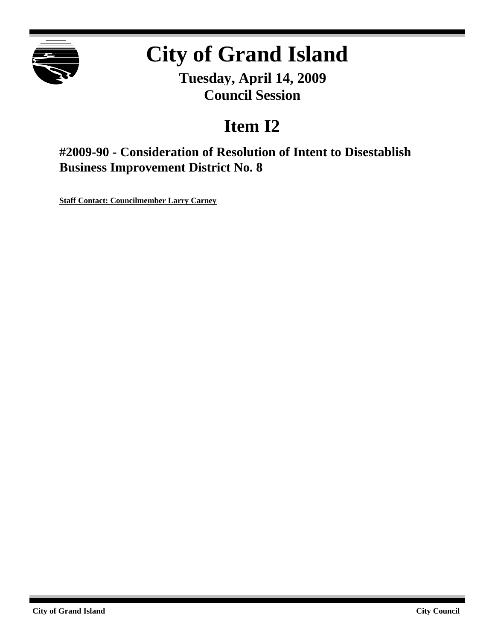

# **City of Grand Island**

**Tuesday, April 14, 2009 Council Session**

# **Item I2**

**#2009-90 - Consideration of Resolution of Intent to Disestablish Business Improvement District No. 8**

**Staff Contact: Councilmember Larry Carney**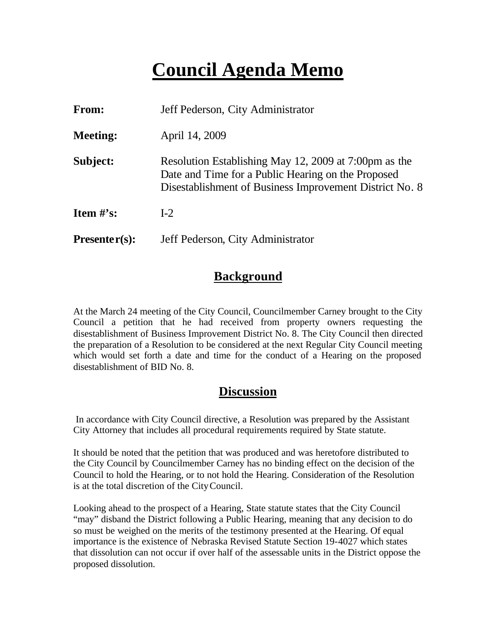# **Council Agenda Memo**

| From:                          | Jeff Pederson, City Administrator                                                                                                                                      |
|--------------------------------|------------------------------------------------------------------------------------------------------------------------------------------------------------------------|
| <b>Meeting:</b>                | April 14, 2009                                                                                                                                                         |
| Subject:                       | Resolution Establishing May 12, 2009 at 7:00pm as the<br>Date and Time for a Public Hearing on the Proposed<br>Disestablishment of Business Improvement District No. 8 |
| <b>Item <math>\#</math>'s:</b> | $I-2$                                                                                                                                                                  |
| $Presenter(s):$                | Jeff Pederson, City Administrator                                                                                                                                      |

#### **Background**

At the March 24 meeting of the City Council, Councilmember Carney brought to the City Council a petition that he had received from property owners requesting the disestablishment of Business Improvement District No. 8. The City Council then directed the preparation of a Resolution to be considered at the next Regular City Council meeting which would set forth a date and time for the conduct of a Hearing on the proposed disestablishment of BID No. 8.

#### **Discussion**

In accordance with City Council directive, a Resolution was prepared by the Assistant City Attorney that includes all procedural requirements required by State statute.

It should be noted that the petition that was produced and was heretofore distributed to the City Council by Councilmember Carney has no binding effect on the decision of the Council to hold the Hearing, or to not hold the Hearing. Consideration of the Resolution is at the total discretion of the City Council.

Looking ahead to the prospect of a Hearing, State statute states that the City Council "may" disband the District following a Public Hearing, meaning that any decision to do so must be weighed on the merits of the testimony presented at the Hearing. Of equal importance is the existence of Nebraska Revised Statute Section 19-4027 which states that dissolution can not occur if over half of the assessable units in the District oppose the proposed dissolution.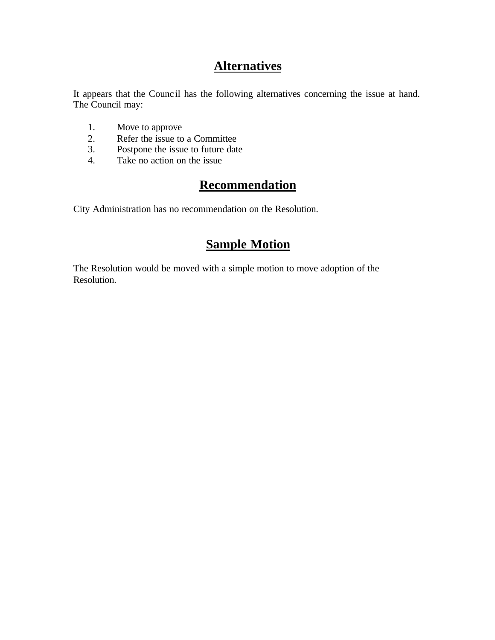### **Alternatives**

It appears that the Counc il has the following alternatives concerning the issue at hand. The Council may:

- 1. Move to approve
- 2. Refer the issue to a Committee<br>3. Postpone the issue to future date
- Postpone the issue to future date
- 4. Take no action on the issue

### **Recommendation**

City Administration has no recommendation on the Resolution.

#### **Sample Motion**

The Resolution would be moved with a simple motion to move adoption of the Resolution.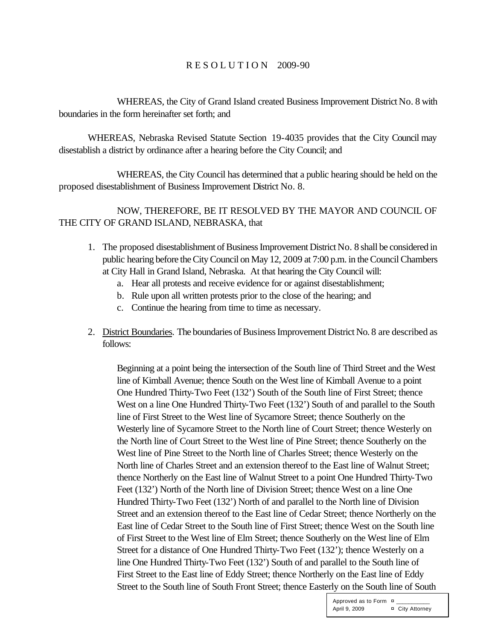#### R E S O L U T I O N 2009-90

WHEREAS, the City of Grand Island created Business Improvement District No. 8 with boundaries in the form hereinafter set forth; and

WHEREAS, Nebraska Revised Statute Section 19-4035 provides that the City Council may disestablish a district by ordinance after a hearing before the City Council; and

WHEREAS, the City Council has determined that a public hearing should be held on the proposed disestablishment of Business Improvement District No. 8.

#### NOW, THEREFORE, BE IT RESOLVED BY THE MAYOR AND COUNCIL OF THE CITY OF GRAND ISLAND, NEBRASKA, that

- 1. The proposed disestablishment of Business Improvement District No. 8 shall be considered in public hearing before the City Council on May 12, 2009 at 7:00 p.m. in the Council Chambers at City Hall in Grand Island, Nebraska. At that hearing the City Council will:
	- a. Hear all protests and receive evidence for or against disestablishment;
	- b. Rule upon all written protests prior to the close of the hearing; and
	- c. Continue the hearing from time to time as necessary.
- 2. District Boundaries. The boundaries of Business Improvement District No. 8 are described as follows:

Beginning at a point being the intersection of the South line of Third Street and the West line of Kimball Avenue; thence South on the West line of Kimball Avenue to a point One Hundred Thirty-Two Feet (132') South of the South line of First Street; thence West on a line One Hundred Thirty-Two Feet (132') South of and parallel to the South line of First Street to the West line of Sycamore Street; thence Southerly on the Westerly line of Sycamore Street to the North line of Court Street; thence Westerly on the North line of Court Street to the West line of Pine Street; thence Southerly on the West line of Pine Street to the North line of Charles Street; thence Westerly on the North line of Charles Street and an extension thereof to the East line of Walnut Street; thence Northerly on the East line of Walnut Street to a point One Hundred Thirty-Two Feet (132') North of the North line of Division Street; thence West on a line One Hundred Thirty-Two Feet (132') North of and parallel to the North line of Division Street and an extension thereof to the East line of Cedar Street; thence Northerly on the East line of Cedar Street to the South line of First Street; thence West on the South line of First Street to the West line of Elm Street; thence Southerly on the West line of Elm Street for a distance of One Hundred Thirty-Two Feet (132'); thence Westerly on a line One Hundred Thirty-Two Feet (132') South of and parallel to the South line of First Street to the East line of Eddy Street; thence Northerly on the East line of Eddy Street to the South line of South Front Street; thence Easterly on the South line of South

> Approved as to Form  $\overline{a}$ April 9, 2009 **¤** City Attorney